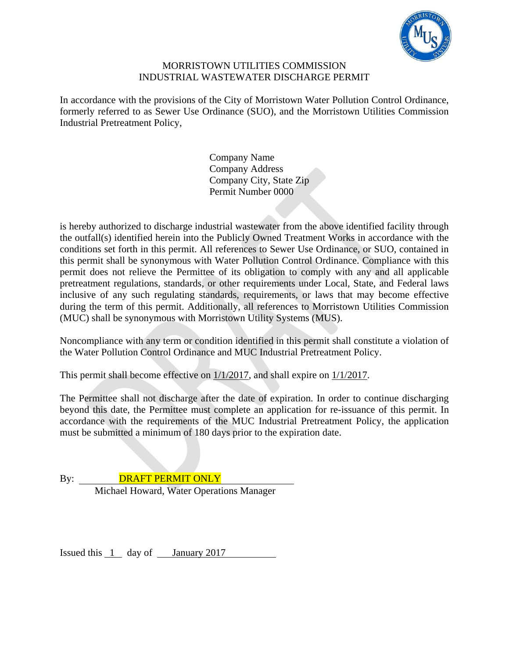

#### MORRISTOWN UTILITIES COMMISSION INDUSTRIAL WASTEWATER DISCHARGE PERMIT

In accordance with the provisions of the City of Morristown Water Pollution Control Ordinance, formerly referred to as Sewer Use Ordinance (SUO), and the Morristown Utilities Commission Industrial Pretreatment Policy,

> Company Name Company Address Company City, State Zip Permit Number 0000

is hereby authorized to discharge industrial wastewater from the above identified facility through the outfall(s) identified herein into the Publicly Owned Treatment Works in accordance with the conditions set forth in this permit. All references to Sewer Use Ordinance, or SUO, contained in this permit shall be synonymous with Water Pollution Control Ordinance. Compliance with this permit does not relieve the Permittee of its obligation to comply with any and all applicable pretreatment regulations, standards, or other requirements under Local, State, and Federal laws inclusive of any such regulating standards, requirements, or laws that may become effective during the term of this permit. Additionally, all references to Morristown Utilities Commission (MUC) shall be synonymous with Morristown Utility Systems (MUS).

Noncompliance with any term or condition identified in this permit shall constitute a violation of the Water Pollution Control Ordinance and MUC Industrial Pretreatment Policy.

This permit shall become effective on 1/1/2017, and shall expire on 1/1/2017.

The Permittee shall not discharge after the date of expiration. In order to continue discharging beyond this date, the Permittee must complete an application for re-issuance of this permit. In accordance with the requirements of the MUC Industrial Pretreatment Policy, the application must be submitted a minimum of 180 days prior to the expiration date.

By: **DRAFT PERMIT ONLY** Michael Howard, Water Operations Manager

Issued this  $1$  day of January 2017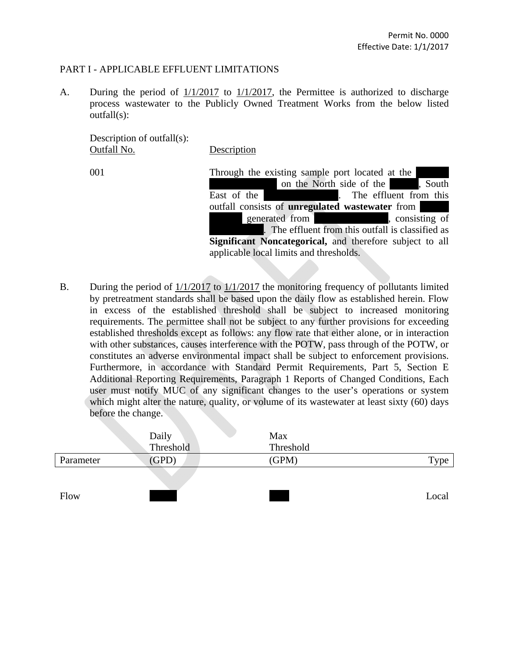#### PART I - APPLICABLE EFFLUENT LIMITATIONS

A. During the period of 1/1/2017 to 1/1/2017, the Permittee is authorized to discharge process wastewater to the Publicly Owned Treatment Works from the below listed outfall(s):

 Description of outfall(s): Outfall No. Description

001 Through the existing sample port located at the on the North side of the lands South East of the maintenance shop. The effluent from this outfall consists of **unregulated** wastewater from lead from a consisting of generated from a consisting of . The effluent from this outfall is classified as **Significant Noncategorical,** and therefore subject to all applicable local limits and thresholds.

B. During the period of 1/1/2017 to 1/1/2017 the monitoring frequency of pollutants limited by pretreatment standards shall be based upon the daily flow as established herein. Flow in excess of the established threshold shall be subject to increased monitoring requirements. The permittee shall not be subject to any further provisions for exceeding established thresholds except as follows: any flow rate that either alone, or in interaction with other substances, causes interference with the POTW, pass through of the POTW, or constitutes an adverse environmental impact shall be subject to enforcement provisions. Furthermore, in accordance with Standard Permit Requirements, Part 5, Section E Additional Reporting Requirements, Paragraph 1 Reports of Changed Conditions, Each user must notify MUC of any significant changes to the user's operations or system which might alter the nature, quality, or volume of its wastewater at least sixty (60) days before the change.

| Daily     | Max       |       |
|-----------|-----------|-------|
| Threshold | Threshold |       |
| (GPD)     | (GPM)     | Type  |
|           |           |       |
|           |           |       |
|           |           | Local |
|           |           |       |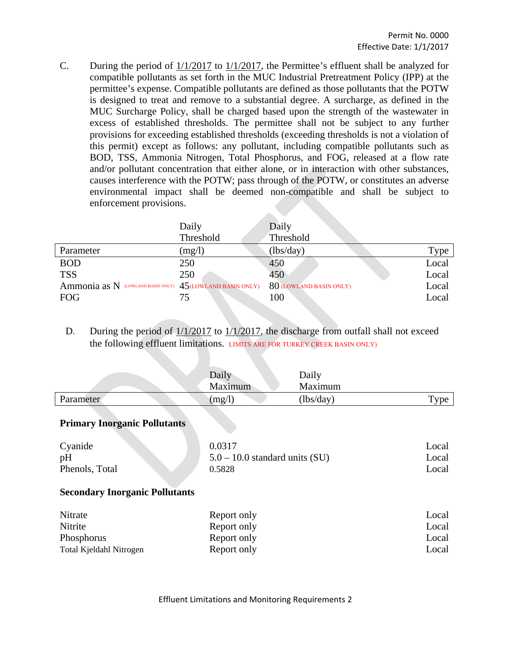C. During the period of 1/1/2017 to 1/1/2017, the Permittee's effluent shall be analyzed for compatible pollutants as set forth in the MUC Industrial Pretreatment Policy (IPP) at the permittee's expense. Compatible pollutants are defined as those pollutants that the POTW is designed to treat and remove to a substantial degree. A surcharge, as defined in the MUC Surcharge Policy, shall be charged based upon the strength of the wastewater in excess of established thresholds. The permittee shall not be subject to any further provisions for exceeding established thresholds (exceeding thresholds is not a violation of this permit) except as follows: any pollutant, including compatible pollutants such as BOD, TSS, Ammonia Nitrogen, Total Phosphorus, and FOG, released at a flow rate and/or pollutant concentration that either alone, or in interaction with other substances, causes interference with the POTW; pass through of the POTW, or constitutes an adverse environmental impact shall be deemed non-compatible and shall be subject to enforcement provisions.

|                                                          | Daily     | Daily                   |       |
|----------------------------------------------------------|-----------|-------------------------|-------|
|                                                          | Threshold | Threshold               |       |
| Parameter                                                | (mg/l)    | (lbs/day)               | Type  |
| <b>BOD</b>                                               | 250       | 450                     | Local |
| <b>TSS</b>                                               | 250       | 450                     | Local |
| Ammonia as N (LOWLAND BASIN ONLY) 45(LOWLAND BASIN ONLY) |           | 80 (LOWLAND BASIN ONLY) | Local |
| <b>FOG</b>                                               | 75        | 100                     | Local |

D. During the period of  $1/1/2017$  to  $1/1/2017$ , the discharge from outfall shall not exceed the following effluent limitations. LIMITS ARE FOR TURKEY CREEK BASIN ONLY)

|           | Daily<br>Maximum | Daily<br>Maximum            |         |
|-----------|------------------|-----------------------------|---------|
| Parameter | mg/l             | $\langle$ lbs/day $\rangle$ | $v$ roe |
|           |                  |                             |         |

#### **Primary Inorganic Pollutants**

| Cyanide        | 0.0317                           | Local |
|----------------|----------------------------------|-------|
| pH             | $5.0 - 10.0$ standard units (SU) | Local |
| Phenols, Total | 0.5828                           | Local |

#### **Secondary Inorganic Pollutants**

| Nitrate                 | Report only | Local |
|-------------------------|-------------|-------|
| Nitrite                 | Report only | Local |
| Phosphorus              | Report only | Local |
| Total Kjeldahl Nitrogen | Report only | Local |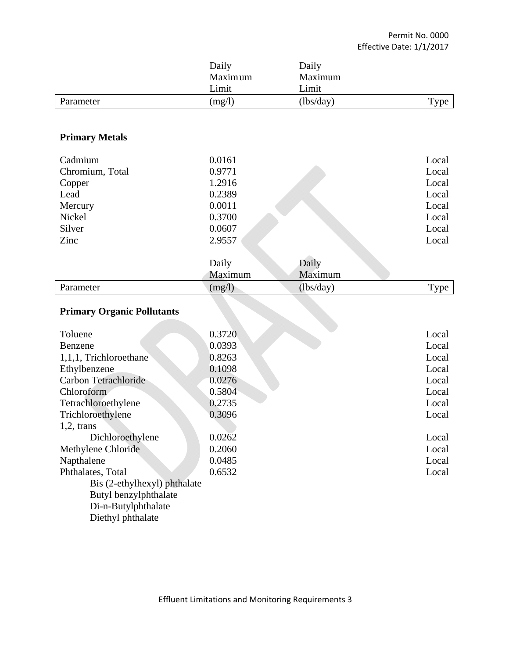|                                   | Daily<br>Maximum<br>Limit | Daily<br>Maximum<br>Limit |       |
|-----------------------------------|---------------------------|---------------------------|-------|
| Parameter                         | (mg/l)                    | (lbs/day)                 | Type  |
|                                   |                           |                           |       |
| <b>Primary Metals</b>             |                           |                           |       |
| Cadmium                           | 0.0161                    |                           | Local |
| Chromium, Total                   | 0.9771                    |                           | Local |
| Copper                            | 1.2916                    |                           | Local |
| Lead                              | 0.2389                    |                           | Local |
| Mercury                           | 0.0011                    |                           | Local |
| Nickel                            | 0.3700                    |                           | Local |
| Silver                            | 0.0607                    |                           | Local |
| Zinc                              | 2.9557                    |                           | Local |
|                                   | Daily                     | Daily                     |       |
|                                   | Maximum                   | Maximum                   |       |
| Parameter                         | (mg/l)                    | (lbs/day)                 | Type  |
| <b>Primary Organic Pollutants</b> |                           |                           |       |

# **Primary Organic Pollutants**

| Toluene                      | 0.3720 | Local |
|------------------------------|--------|-------|
| Benzene                      | 0.0393 | Local |
| 1,1,1, Trichloroethane       | 0.8263 | Local |
| Ethylbenzene                 | 0.1098 | Local |
| Carbon Tetrachloride         | 0.0276 | Local |
| Chloroform                   | 0.5804 | Local |
| Tetrachloroethylene          | 0.2735 | Local |
| Trichloroethylene            | 0.3096 | Local |
| $1,2$ , trans                |        |       |
| Dichloroethylene             | 0.0262 | Local |
| Methylene Chloride           | 0.2060 | Local |
| Napthalene                   | 0.0485 | Local |
| Phthalates, Total            | 0.6532 | Local |
| Bis (2-ethylhexyl) phthalate |        |       |
| Butyl benzylphthalate        |        |       |
| Di-n-Butylphthalate          |        |       |
| Diethyl phthalate            |        |       |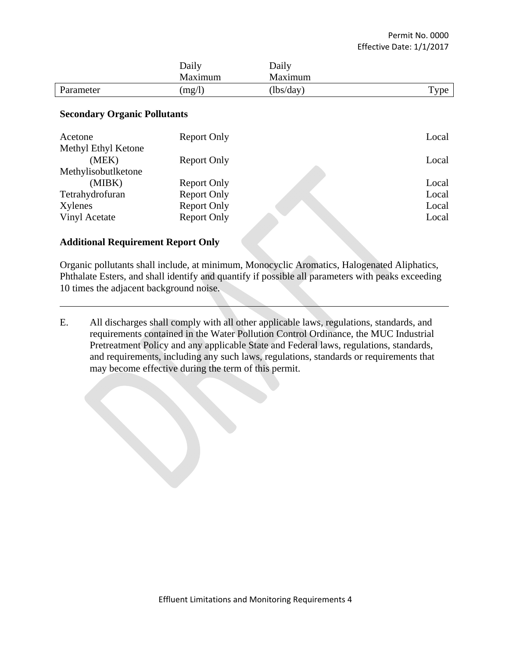|           | Daily<br>Maximum | Daily<br>Maximum |                    |
|-----------|------------------|------------------|--------------------|
| Parameter | (mg/l)           | (lbs/day)        | $T$ <sub>ype</sub> |

#### **Secondary Organic Pollutants**

| Acetone             | Report Only        | Local |
|---------------------|--------------------|-------|
| Methyl Ethyl Ketone |                    |       |
| (MEK)               | <b>Report Only</b> | Local |
| Methylisobutlketone |                    |       |
| (MIBK)              | <b>Report Only</b> | Local |
| Tetrahydrofuran     | <b>Report Only</b> | Local |
| Xylenes             | <b>Report Only</b> | Local |
| Vinyl Acetate       | <b>Report Only</b> | Local |
|                     |                    |       |

### **Additional Requirement Report Only**

Organic pollutants shall include, at minimum, Monocyclic Aromatics, Halogenated Aliphatics, Phthalate Esters, and shall identify and quantify if possible all parameters with peaks exceeding 10 times the adjacent background noise.

E. All discharges shall comply with all other applicable laws, regulations, standards, and requirements contained in the Water Pollution Control Ordinance, the MUC Industrial Pretreatment Policy and any applicable State and Federal laws, regulations, standards, and requirements, including any such laws, regulations, standards or requirements that may become effective during the term of this permit.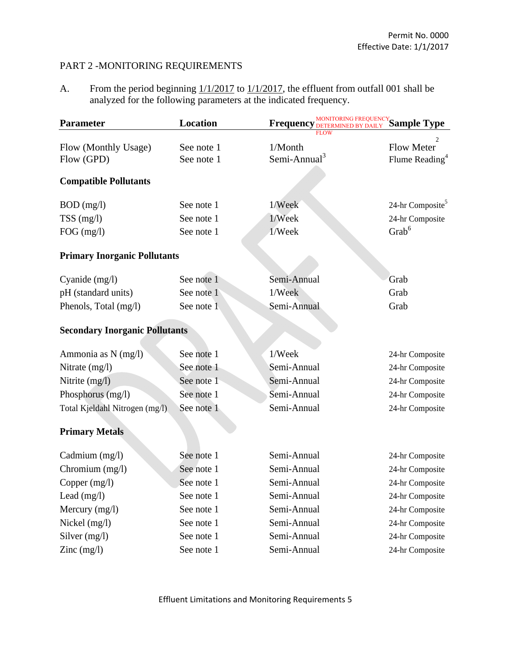## PART 2 -MONITORING REQUIREMENTS

A. From the period beginning  $1/1/2017$  to  $1/1/2017$ , the effluent from outfall 001 shall be analyzed for the following parameters at the indicated frequency.

| <b>Parameter</b>                      | Location   | MONITORING FREQUENCY Sample Type<br><b>Frequency</b> |                              |
|---------------------------------------|------------|------------------------------------------------------|------------------------------|
|                                       |            |                                                      |                              |
| Flow (Monthly Usage)                  | See note 1 | 1/Month<br>Semi-Annual <sup>3</sup>                  | <b>Flow Meter</b>            |
| Flow (GPD)                            | See note 1 |                                                      | Flume Reading <sup>4</sup>   |
| <b>Compatible Pollutants</b>          |            |                                                      |                              |
| $BOD$ (mg/l)                          | See note 1 | 1/Week                                               | 24-hr Composite <sup>5</sup> |
| $TSS$ (mg/l)                          | See note 1 | 1/Week                                               | 24-hr Composite              |
| $FOG$ (mg/l)                          | See note 1 | 1/Week                                               | Grab <sup>6</sup>            |
| <b>Primary Inorganic Pollutants</b>   |            |                                                      |                              |
| Cyanide (mg/l)                        | See note 1 | Semi-Annual                                          | Grab                         |
| pH (standard units)                   | See note 1 | 1/Week                                               | Grab                         |
| Phenols, Total (mg/l)                 | See note 1 | Semi-Annual                                          | Grab                         |
| <b>Secondary Inorganic Pollutants</b> |            |                                                      |                              |
| Ammonia as N (mg/l)                   | See note 1 | 1/Week                                               | 24-hr Composite              |
| Nitrate $(mg/l)$                      | See note 1 | Semi-Annual                                          | 24-hr Composite              |
| Nitrite (mg/l)                        | See note 1 | Semi-Annual                                          | 24-hr Composite              |
| Phosphorus (mg/l)                     | See note 1 | Semi-Annual                                          | 24-hr Composite              |
| Total Kjeldahl Nitrogen (mg/l)        | See note 1 | Semi-Annual                                          | 24-hr Composite              |
| <b>Primary Metals</b>                 |            |                                                      |                              |
| Cadmium (mg/l)                        | See note 1 | Semi-Annual                                          | 24-hr Composite              |
| Chromium (mg/l)                       | See note 1 | Semi-Annual                                          | 24-hr Composite              |
| Copper (mg/l)                         | See note 1 | Semi-Annual                                          | 24-hr Composite              |
| Lead $(mg/l)$                         | See note 1 | Semi-Annual                                          | 24-hr Composite              |
| Mercury $(mg/l)$                      | See note 1 | Semi-Annual                                          | 24-hr Composite              |
| Nickel $(mg/l)$                       | See note 1 | Semi-Annual                                          | 24-hr Composite              |
| Silver $(mg/l)$                       | See note 1 | Semi-Annual                                          | 24-hr Composite              |
| $\text{Zinc} \text{ (mg/l)}$          | See note 1 | Semi-Annual                                          | 24-hr Composite              |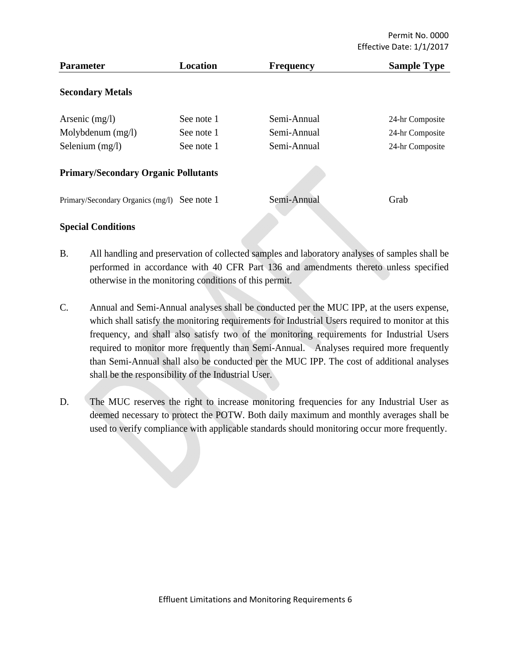| <b>Parameter</b>                            | Location   | <b>Frequency</b> | <b>Sample Type</b> |
|---------------------------------------------|------------|------------------|--------------------|
| <b>Secondary Metals</b>                     |            |                  |                    |
| Arsenic $(mg/l)$                            | See note 1 | Semi-Annual      | 24-hr Composite    |
| Molybdenum $(mg/l)$                         | See note 1 | Semi-Annual      | 24-hr Composite    |
| Selenium $(mg/l)$                           | See note 1 | Semi-Annual      | 24-hr Composite    |
| <b>Primary/Secondary Organic Pollutants</b> |            |                  |                    |
| Primary/Secondary Organics (mg/l)           | See note 1 | Semi-Annual      | Grab               |
| <b>Special Conditions</b>                   |            |                  |                    |

B. All handling and preservation of collected samples and laboratory analyses of samples shall be performed in accordance with 40 CFR Part 136 and amendments thereto unless specified

otherwise in the monitoring conditions of this permit.

- C. Annual and Semi-Annual analyses shall be conducted per the MUC IPP, at the users expense, which shall satisfy the monitoring requirements for Industrial Users required to monitor at this frequency, and shall also satisfy two of the monitoring requirements for Industrial Users required to monitor more frequently than Semi-Annual. Analyses required more frequently than Semi-Annual shall also be conducted per the MUC IPP. The cost of additional analyses shall be the responsibility of the Industrial User.
- D. The MUC reserves the right to increase monitoring frequencies for any Industrial User as deemed necessary to protect the POTW. Both daily maximum and monthly averages shall be used to verify compliance with applicable standards should monitoring occur more frequently.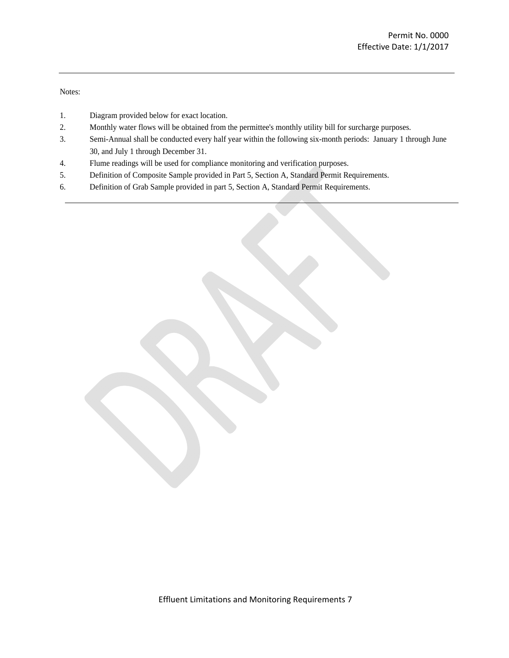Notes:

- 1. Diagram provided below for exact location.
- 2. Monthly water flows will be obtained from the permittee's monthly utility bill for surcharge purposes.
- 3. Semi-Annual shall be conducted every half year within the following six-month periods: January 1 through June 30, and July 1 through December 31.
- 4. Flume readings will be used for compliance monitoring and verification purposes.
- 5. Definition of Composite Sample provided in Part 5, Section A, Standard Permit Requirements.
- 6. Definition of Grab Sample provided in part 5, Section A, Standard Permit Requirements.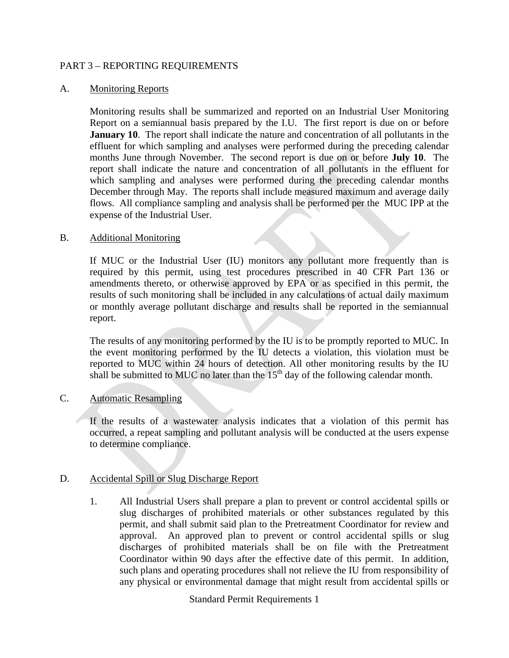#### PART 3 – REPORTING REQUIREMENTS

#### A. Monitoring Reports

Monitoring results shall be summarized and reported on an Industrial User Monitoring Report on a semiannual basis prepared by the I.U. The first report is due on or before **January 10.** The report shall indicate the nature and concentration of all pollutants in the effluent for which sampling and analyses were performed during the preceding calendar months June through November. The second report is due on or before **July 10**. The report shall indicate the nature and concentration of all pollutants in the effluent for which sampling and analyses were performed during the preceding calendar months December through May. The reports shall include measured maximum and average daily flows. All compliance sampling and analysis shall be performed per the MUC IPP at the expense of the Industrial User.

#### B. Additional Monitoring

If MUC or the Industrial User (IU) monitors any pollutant more frequently than is required by this permit, using test procedures prescribed in 40 CFR Part 136 or amendments thereto, or otherwise approved by EPA or as specified in this permit, the results of such monitoring shall be included in any calculations of actual daily maximum or monthly average pollutant discharge and results shall be reported in the semiannual report.

The results of any monitoring performed by the IU is to be promptly reported to MUC. In the event monitoring performed by the IU detects a violation, this violation must be reported to MUC within 24 hours of detection. All other monitoring results by the IU shall be submitted to MUC no later than the  $15<sup>th</sup>$  day of the following calendar month.

## C. Automatic Resampling

If the results of a wastewater analysis indicates that a violation of this permit has occurred, a repeat sampling and pollutant analysis will be conducted at the users expense to determine compliance.

#### D. Accidental Spill or Slug Discharge Report

1. All Industrial Users shall prepare a plan to prevent or control accidental spills or slug discharges of prohibited materials or other substances regulated by this permit, and shall submit said plan to the Pretreatment Coordinator for review and approval. An approved plan to prevent or control accidental spills or slug discharges of prohibited materials shall be on file with the Pretreatment Coordinator within 90 days after the effective date of this permit. In addition, such plans and operating procedures shall not relieve the IU from responsibility of any physical or environmental damage that might result from accidental spills or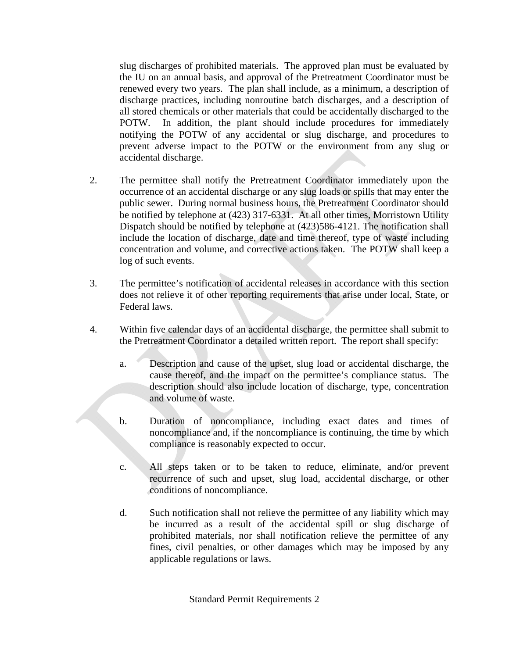slug discharges of prohibited materials. The approved plan must be evaluated by the IU on an annual basis, and approval of the Pretreatment Coordinator must be renewed every two years. The plan shall include, as a minimum, a description of discharge practices, including nonroutine batch discharges, and a description of all stored chemicals or other materials that could be accidentally discharged to the POTW. In addition, the plant should include procedures for immediately notifying the POTW of any accidental or slug discharge, and procedures to prevent adverse impact to the POTW or the environment from any slug or accidental discharge.

- 2. The permittee shall notify the Pretreatment Coordinator immediately upon the occurrence of an accidental discharge or any slug loads or spills that may enter the public sewer. During normal business hours, the Pretreatment Coordinator should be notified by telephone at (423) 317-6331. At all other times, Morristown Utility Dispatch should be notified by telephone at (423)586-4121. The notification shall include the location of discharge, date and time thereof, type of waste including concentration and volume, and corrective actions taken. The POTW shall keep a log of such events.
- 3. The permittee's notification of accidental releases in accordance with this section does not relieve it of other reporting requirements that arise under local, State, or Federal laws.
- 4. Within five calendar days of an accidental discharge, the permittee shall submit to the Pretreatment Coordinator a detailed written report. The report shall specify:
	- a. Description and cause of the upset, slug load or accidental discharge, the cause thereof, and the impact on the permittee's compliance status. The description should also include location of discharge, type, concentration and volume of waste.
	- b. Duration of noncompliance, including exact dates and times of noncompliance and, if the noncompliance is continuing, the time by which compliance is reasonably expected to occur.
	- c. All steps taken or to be taken to reduce, eliminate, and/or prevent recurrence of such and upset, slug load, accidental discharge, or other conditions of noncompliance.
	- d. Such notification shall not relieve the permittee of any liability which may be incurred as a result of the accidental spill or slug discharge of prohibited materials, nor shall notification relieve the permittee of any fines, civil penalties, or other damages which may be imposed by any applicable regulations or laws.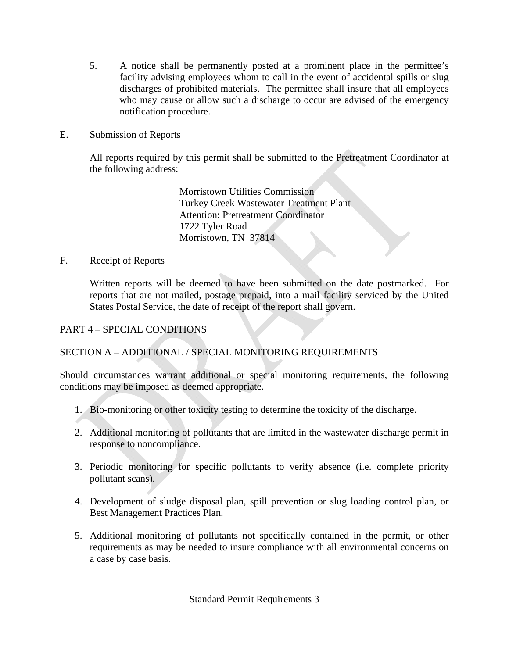5. A notice shall be permanently posted at a prominent place in the permittee's facility advising employees whom to call in the event of accidental spills or slug discharges of prohibited materials. The permittee shall insure that all employees who may cause or allow such a discharge to occur are advised of the emergency notification procedure.

## E. Submission of Reports

All reports required by this permit shall be submitted to the Pretreatment Coordinator at the following address:

> Morristown Utilities Commission Turkey Creek Wastewater Treatment Plant Attention: Pretreatment Coordinator 1722 Tyler Road Morristown, TN 37814

#### F. Receipt of Reports

Written reports will be deemed to have been submitted on the date postmarked. For reports that are not mailed, postage prepaid, into a mail facility serviced by the United States Postal Service, the date of receipt of the report shall govern.

## PART 4 – SPECIAL CONDITIONS

## SECTION A – ADDITIONAL / SPECIAL MONITORING REQUIREMENTS

Should circumstances warrant additional or special monitoring requirements, the following conditions may be imposed as deemed appropriate.

- 1. Bio-monitoring or other toxicity testing to determine the toxicity of the discharge.
- 2. Additional monitoring of pollutants that are limited in the wastewater discharge permit in response to noncompliance.
- 3. Periodic monitoring for specific pollutants to verify absence (i.e. complete priority pollutant scans).
- 4. Development of sludge disposal plan, spill prevention or slug loading control plan, or Best Management Practices Plan.
- 5. Additional monitoring of pollutants not specifically contained in the permit, or other requirements as may be needed to insure compliance with all environmental concerns on a case by case basis.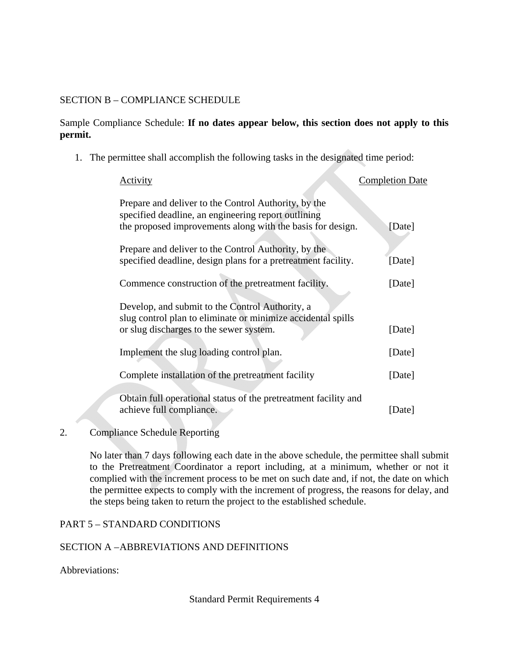## SECTION B – COMPLIANCE SCHEDULE

## Sample Compliance Schedule: **If no dates appear below, this section does not apply to this permit.**

1. The permittee shall accomplish the following tasks in the designated time period:

| Activity                                                                                                                                                                  | <b>Completion Date</b> |
|---------------------------------------------------------------------------------------------------------------------------------------------------------------------------|------------------------|
| Prepare and deliver to the Control Authority, by the<br>specified deadline, an engineering report outlining<br>the proposed improvements along with the basis for design. | [Date]                 |
| Prepare and deliver to the Control Authority, by the<br>specified deadline, design plans for a pretreatment facility.                                                     | [Date]                 |
| Commence construction of the pretreatment facility.                                                                                                                       | [Date]                 |
| Develop, and submit to the Control Authority, a<br>slug control plan to eliminate or minimize accidental spills<br>or slug discharges to the sewer system.                | [Date]                 |
| Implement the slug loading control plan.                                                                                                                                  | [Date]                 |
| Complete installation of the pretreatment facility                                                                                                                        | [Date]                 |
| Obtain full operational status of the pretreatment facility and<br>achieve full compliance.                                                                               | [Date]                 |

## 2. Compliance Schedule Reporting

No later than 7 days following each date in the above schedule, the permittee shall submit to the Pretreatment Coordinator a report including, at a minimum, whether or not it complied with the increment process to be met on such date and, if not, the date on which the permittee expects to comply with the increment of progress, the reasons for delay, and the steps being taken to return the project to the established schedule.

#### PART 5 – STANDARD CONDITIONS

## SECTION A – ABBREVIATIONS AND DEFINITIONS

#### Abbreviations: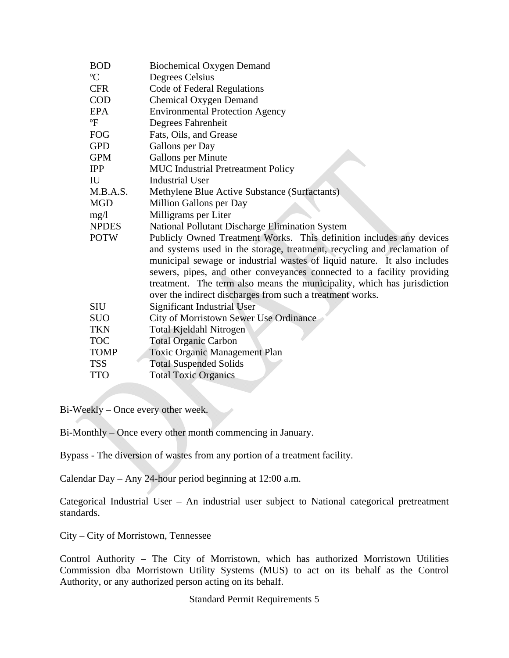| <b>BOD</b>   | <b>Biochemical Oxygen Demand</b>                                         |
|--------------|--------------------------------------------------------------------------|
| $\rm ^{o}C$  | Degrees Celsius                                                          |
| <b>CFR</b>   | Code of Federal Regulations                                              |
| <b>COD</b>   | <b>Chemical Oxygen Demand</b>                                            |
| <b>EPA</b>   | <b>Environmental Protection Agency</b>                                   |
| $\mathrm{P}$ | Degrees Fahrenheit                                                       |
| <b>FOG</b>   | Fats, Oils, and Grease                                                   |
| <b>GPD</b>   | Gallons per Day                                                          |
| <b>GPM</b>   | Gallons per Minute                                                       |
| <b>IPP</b>   | MUC Industrial Pretreatment Policy                                       |
| IU           | <b>Industrial User</b>                                                   |
| M.B.A.S.     | Methylene Blue Active Substance (Surfactants)                            |
| <b>MGD</b>   | Million Gallons per Day                                                  |
| mg/1         | Milligrams per Liter                                                     |
| <b>NPDES</b> | National Pollutant Discharge Elimination System                          |
| <b>POTW</b>  | Publicly Owned Treatment Works. This definition includes any devices     |
|              | and systems used in the storage, treatment, recycling and reclamation of |
|              | municipal sewage or industrial wastes of liquid nature. It also includes |
|              | sewers, pipes, and other conveyances connected to a facility providing   |
|              | treatment. The term also means the municipality, which has jurisdiction  |
|              | over the indirect discharges from such a treatment works.                |
| <b>SIU</b>   | <b>Significant Industrial User</b>                                       |
| <b>SUO</b>   | City of Morristown Sewer Use Ordinance                                   |
| <b>TKN</b>   | Total Kjeldahl Nitrogen                                                  |
| <b>TOC</b>   | <b>Total Organic Carbon</b>                                              |
| <b>TOMP</b>  | <b>Toxic Organic Management Plan</b>                                     |
| <b>TSS</b>   | <b>Total Suspended Solids</b>                                            |
| <b>TTO</b>   | <b>Total Toxic Organics</b>                                              |

Bi-Weekly – Once every other week.

Bi-Monthly – Once every other month commencing in January.

Bypass - The diversion of wastes from any portion of a treatment facility.

Calendar Day – Any 24-hour period beginning at 12:00 a.m.

Categorical Industrial User – An industrial user subject to National categorical pretreatment standards.

City – City of Morristown, Tennessee

Control Authority – The City of Morristown, which has authorized Morristown Utilities Commission dba Morristown Utility Systems (MUS) to act on its behalf as the Control Authority, or any authorized person acting on its behalf.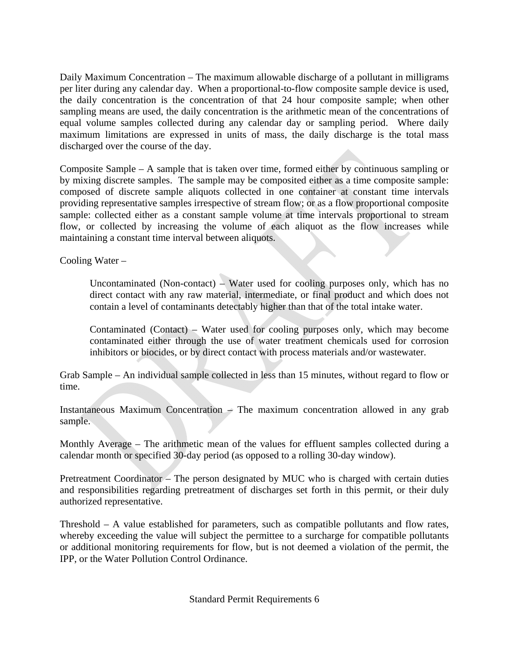Daily Maximum Concentration – The maximum allowable discharge of a pollutant in milligrams per liter during any calendar day. When a proportional-to-flow composite sample device is used, the daily concentration is the concentration of that 24 hour composite sample; when other sampling means are used, the daily concentration is the arithmetic mean of the concentrations of equal volume samples collected during any calendar day or sampling period. Where daily maximum limitations are expressed in units of mass, the daily discharge is the total mass discharged over the course of the day.

Composite Sample – A sample that is taken over time, formed either by continuous sampling or by mixing discrete samples. The sample may be composited either as a time composite sample: composed of discrete sample aliquots collected in one container at constant time intervals providing representative samples irrespective of stream flow; or as a flow proportional composite sample: collected either as a constant sample volume at time intervals proportional to stream flow, or collected by increasing the volume of each aliquot as the flow increases while maintaining a constant time interval between aliquots.

Cooling Water –

Uncontaminated (Non-contact) – Water used for cooling purposes only, which has no direct contact with any raw material, intermediate, or final product and which does not contain a level of contaminants detectably higher than that of the total intake water.

Contaminated (Contact) – Water used for cooling purposes only, which may become contaminated either through the use of water treatment chemicals used for corrosion inhibitors or biocides, or by direct contact with process materials and/or wastewater.

Grab Sample – An individual sample collected in less than 15 minutes, without regard to flow or time.

Instantaneous Maximum Concentration  $-$  The maximum concentration allowed in any grab sample.

Monthly Average – The arithmetic mean of the values for effluent samples collected during a calendar month or specified 30-day period (as opposed to a rolling 30-day window).

Pretreatment Coordinator – The person designated by MUC who is charged with certain duties and responsibilities regarding pretreatment of discharges set forth in this permit, or their duly authorized representative.

Threshold – A value established for parameters, such as compatible pollutants and flow rates, whereby exceeding the value will subject the permittee to a surcharge for compatible pollutants or additional monitoring requirements for flow, but is not deemed a violation of the permit, the IPP, or the Water Pollution Control Ordinance.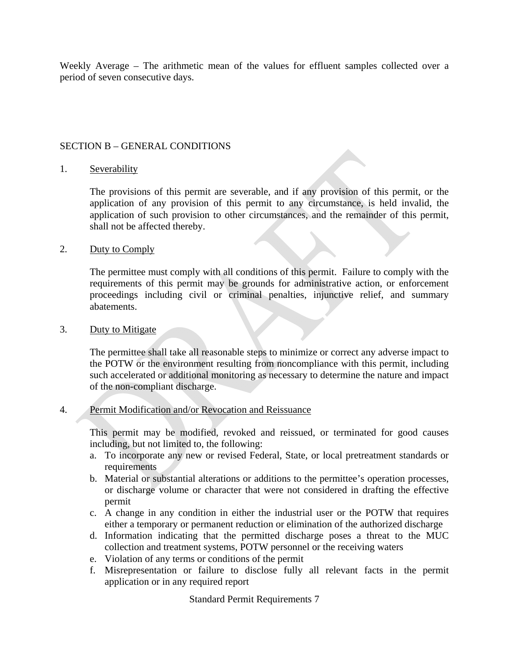Weekly Average – The arithmetic mean of the values for effluent samples collected over a period of seven consecutive days.

#### SECTION B – GENERAL CONDITIONS

#### 1. Severability

The provisions of this permit are severable, and if any provision of this permit, or the application of any provision of this permit to any circumstance, is held invalid, the application of such provision to other circumstances, and the remainder of this permit, shall not be affected thereby.

#### 2. Duty to Comply

The permittee must comply with all conditions of this permit. Failure to comply with the requirements of this permit may be grounds for administrative action, or enforcement proceedings including civil or criminal penalties, injunctive relief, and summary abatements.

#### 3. Duty to Mitigate

The permittee shall take all reasonable steps to minimize or correct any adverse impact to the POTW or the environment resulting from noncompliance with this permit, including such accelerated or additional monitoring as necessary to determine the nature and impact of the non-compliant discharge.

#### 4. Permit Modification and/or Revocation and Reissuance

This permit may be modified, revoked and reissued, or terminated for good causes including, but not limited to, the following:

- a. To incorporate any new or revised Federal, State, or local pretreatment standards or requirements
- b. Material or substantial alterations or additions to the permittee's operation processes, or discharge volume or character that were not considered in drafting the effective permit
- c. A change in any condition in either the industrial user or the POTW that requires either a temporary or permanent reduction or elimination of the authorized discharge
- d. Information indicating that the permitted discharge poses a threat to the MUC collection and treatment systems, POTW personnel or the receiving waters
- e. Violation of any terms or conditions of the permit
- f. Misrepresentation or failure to disclose fully all relevant facts in the permit application or in any required report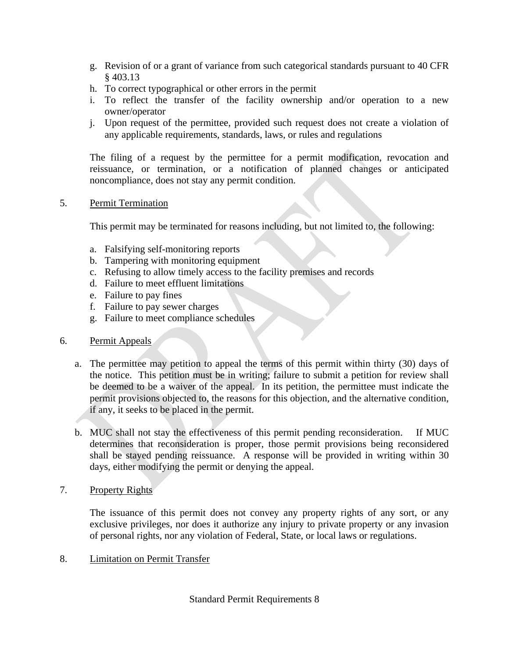- g. Revision of or a grant of variance from such categorical standards pursuant to 40 CFR § 403.13
- h. To correct typographical or other errors in the permit
- i. To reflect the transfer of the facility ownership and/or operation to a new owner/operator
- j. Upon request of the permittee, provided such request does not create a violation of any applicable requirements, standards, laws, or rules and regulations

The filing of a request by the permittee for a permit modification, revocation and reissuance, or termination, or a notification of planned changes or anticipated noncompliance, does not stay any permit condition.

## 5. Permit Termination

This permit may be terminated for reasons including, but not limited to, the following:

- a. Falsifying self-monitoring reports
- b. Tampering with monitoring equipment
- c. Refusing to allow timely access to the facility premises and records
- d. Failure to meet effluent limitations
- e. Failure to pay fines
- f. Failure to pay sewer charges
- g. Failure to meet compliance schedules

## 6. Permit Appeals

- a. The permittee may petition to appeal the terms of this permit within thirty (30) days of the notice. This petition must be in writing; failure to submit a petition for review shall be deemed to be a waiver of the appeal. In its petition, the permittee must indicate the permit provisions objected to, the reasons for this objection, and the alternative condition, if any, it seeks to be placed in the permit.
- b. MUC shall not stay the effectiveness of this permit pending reconsideration. If MUC determines that reconsideration is proper, those permit provisions being reconsidered shall be stayed pending reissuance. A response will be provided in writing within 30 days, either modifying the permit or denying the appeal.
- 7. Property Rights

The issuance of this permit does not convey any property rights of any sort, or any exclusive privileges, nor does it authorize any injury to private property or any invasion of personal rights, nor any violation of Federal, State, or local laws or regulations.

8. Limitation on Permit Transfer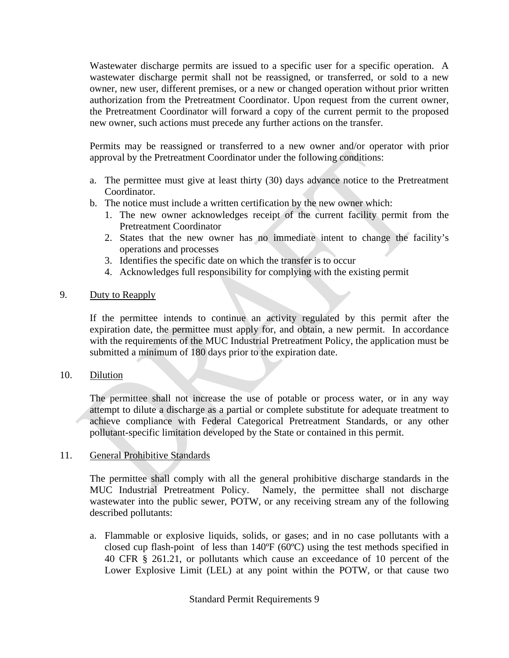Wastewater discharge permits are issued to a specific user for a specific operation. A wastewater discharge permit shall not be reassigned, or transferred, or sold to a new owner, new user, different premises, or a new or changed operation without prior written authorization from the Pretreatment Coordinator. Upon request from the current owner, the Pretreatment Coordinator will forward a copy of the current permit to the proposed new owner, such actions must precede any further actions on the transfer.

Permits may be reassigned or transferred to a new owner and/or operator with prior approval by the Pretreatment Coordinator under the following conditions:

- a. The permittee must give at least thirty (30) days advance notice to the Pretreatment Coordinator.
- b. The notice must include a written certification by the new owner which:
	- 1. The new owner acknowledges receipt of the current facility permit from the Pretreatment Coordinator
	- 2. States that the new owner has no immediate intent to change the facility's operations and processes
	- 3. Identifies the specific date on which the transfer is to occur
	- 4. Acknowledges full responsibility for complying with the existing permit

#### 9. Duty to Reapply

If the permittee intends to continue an activity regulated by this permit after the expiration date, the permittee must apply for, and obtain, a new permit. In accordance with the requirements of the MUC Industrial Pretreatment Policy, the application must be submitted a minimum of 180 days prior to the expiration date.

#### 10. Dilution

The permittee shall not increase the use of potable or process water, or in any way attempt to dilute a discharge as a partial or complete substitute for adequate treatment to achieve compliance with Federal Categorical Pretreatment Standards, or any other pollutant-specific limitation developed by the State or contained in this permit.

#### 11. General Prohibitive Standards

The permittee shall comply with all the general prohibitive discharge standards in the MUC Industrial Pretreatment Policy. Namely, the permittee shall not discharge wastewater into the public sewer, POTW, or any receiving stream any of the following described pollutants:

a. Flammable or explosive liquids, solids, or gases; and in no case pollutants with a closed cup flash-point of less than 140ºF (60ºC) using the test methods specified in 40 CFR § 261.21, or pollutants which cause an exceedance of 10 percent of the Lower Explosive Limit (LEL) at any point within the POTW, or that cause two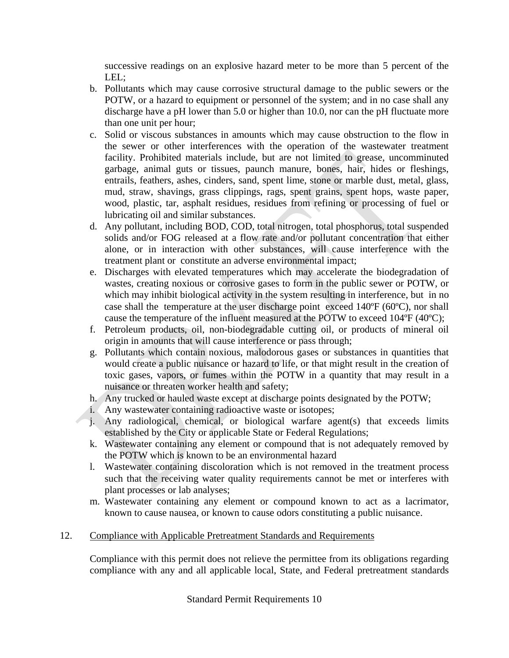successive readings on an explosive hazard meter to be more than 5 percent of the LEL;

- b. Pollutants which may cause corrosive structural damage to the public sewers or the POTW, or a hazard to equipment or personnel of the system; and in no case shall any discharge have a pH lower than 5.0 or higher than 10.0, nor can the pH fluctuate more than one unit per hour;
- c. Solid or viscous substances in amounts which may cause obstruction to the flow in the sewer or other interferences with the operation of the wastewater treatment facility. Prohibited materials include, but are not limited to grease, uncomminuted garbage, animal guts or tissues, paunch manure, bones, hair, hides or fleshings, entrails, feathers, ashes, cinders, sand, spent lime, stone or marble dust, metal, glass, mud, straw, shavings, grass clippings, rags, spent grains, spent hops, waste paper, wood, plastic, tar, asphalt residues, residues from refining or processing of fuel or lubricating oil and similar substances.
- d. Any pollutant, including BOD, COD, total nitrogen, total phosphorus, total suspended solids and/or FOG released at a flow rate and/or pollutant concentration that either alone, or in interaction with other substances, will cause interference with the treatment plant or constitute an adverse environmental impact;
- e. Discharges with elevated temperatures which may accelerate the biodegradation of wastes, creating noxious or corrosive gases to form in the public sewer or POTW, or which may inhibit biological activity in the system resulting in interference, but in no case shall the temperature at the user discharge point exceed 140ºF (60ºC), nor shall cause the temperature of the influent measured at the POTW to exceed 104ºF (40ºC);
- f. Petroleum products, oil, non-biodegradable cutting oil, or products of mineral oil origin in amounts that will cause interference or pass through;
- g. Pollutants which contain noxious, malodorous gases or substances in quantities that would create a public nuisance or hazard to life, or that might result in the creation of toxic gases, vapors, or fumes within the POTW in a quantity that may result in a nuisance or threaten worker health and safety;
- h. Any trucked or hauled waste except at discharge points designated by the POTW;
- i. Any wastewater containing radioactive waste or isotopes;
- j. Any radiological, chemical, or biological warfare agent(s) that exceeds limits established by the City or applicable State or Federal Regulations;
- k. Wastewater containing any element or compound that is not adequately removed by the POTW which is known to be an environmental hazard
- l. Wastewater containing discoloration which is not removed in the treatment process such that the receiving water quality requirements cannot be met or interferes with plant processes or lab analyses;
- m. Wastewater containing any element or compound known to act as a lacrimator, known to cause nausea, or known to cause odors constituting a public nuisance.

## 12. Compliance with Applicable Pretreatment Standards and Requirements

Compliance with this permit does not relieve the permittee from its obligations regarding compliance with any and all applicable local, State, and Federal pretreatment standards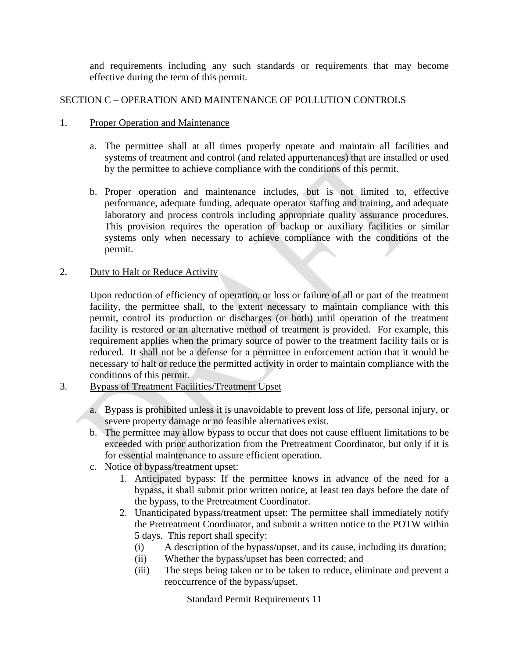and requirements including any such standards or requirements that may become effective during the term of this permit.

## SECTION C – OPERATION AND MAINTENANCE OF POLLUTION CONTROLS

#### 1. Proper Operation and Maintenance

- a. The permittee shall at all times properly operate and maintain all facilities and systems of treatment and control (and related appurtenances) that are installed or used by the permittee to achieve compliance with the conditions of this permit.
- b. Proper operation and maintenance includes, but is not limited to, effective performance, adequate funding, adequate operator staffing and training, and adequate laboratory and process controls including appropriate quality assurance procedures. This provision requires the operation of backup or auxiliary facilities or similar systems only when necessary to achieve compliance with the conditions of the permit.

### 2. Duty to Halt or Reduce Activity

Upon reduction of efficiency of operation, or loss or failure of all or part of the treatment facility, the permittee shall, to the extent necessary to maintain compliance with this permit, control its production or discharges (or both) until operation of the treatment facility is restored or an alternative method of treatment is provided. For example, this requirement applies when the primary source of power to the treatment facility fails or is reduced. It shall not be a defense for a permittee in enforcement action that it would be necessary to halt or reduce the permitted activity in order to maintain compliance with the conditions of this permit.

## 3. Bypass of Treatment Facilities/Treatment Upset

- a. Bypass is prohibited unless it is unavoidable to prevent loss of life, personal injury, or severe property damage or no feasible alternatives exist.
- b. The permittee may allow bypass to occur that does not cause effluent limitations to be exceeded with prior authorization from the Pretreatment Coordinator, but only if it is for essential maintenance to assure efficient operation.
- c. Notice of bypass/treatment upset:
	- 1. Anticipated bypass: If the permittee knows in advance of the need for a bypass, it shall submit prior written notice, at least ten days before the date of the bypass, to the Pretreatment Coordinator.
	- 2. Unanticipated bypass/treatment upset: The permittee shall immediately notify the Pretreatment Coordinator, and submit a written notice to the POTW within 5 days. This report shall specify:
		- (i) A description of the bypass/upset, and its cause, including its duration;
		- (ii) Whether the bypass/upset has been corrected; and
		- (iii) The steps being taken or to be taken to reduce, eliminate and prevent a reoccurrence of the bypass/upset.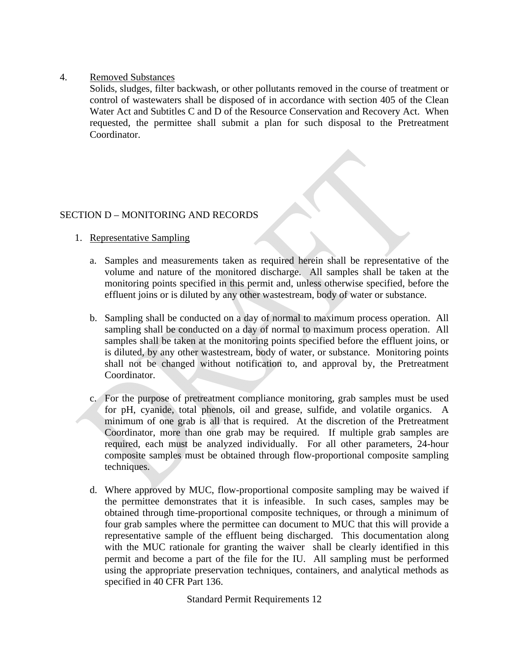#### 4. Removed Substances

Solids, sludges, filter backwash, or other pollutants removed in the course of treatment or control of wastewaters shall be disposed of in accordance with section 405 of the Clean Water Act and Subtitles C and D of the Resource Conservation and Recovery Act. When requested, the permittee shall submit a plan for such disposal to the Pretreatment Coordinator.

## SECTION D – MONITORING AND RECORDS

- 1. Representative Sampling
	- a. Samples and measurements taken as required herein shall be representative of the volume and nature of the monitored discharge. All samples shall be taken at the monitoring points specified in this permit and, unless otherwise specified, before the effluent joins or is diluted by any other wastestream, body of water or substance.
	- b. Sampling shall be conducted on a day of normal to maximum process operation. All sampling shall be conducted on a day of normal to maximum process operation. All samples shall be taken at the monitoring points specified before the effluent joins, or is diluted, by any other wastestream, body of water, or substance. Monitoring points shall not be changed without notification to, and approval by, the Pretreatment Coordinator.
	- c. For the purpose of pretreatment compliance monitoring, grab samples must be used for pH, cyanide, total phenols, oil and grease, sulfide, and volatile organics. A minimum of one grab is all that is required. At the discretion of the Pretreatment Coordinator, more than one grab may be required. If multiple grab samples are required, each must be analyzed individually. For all other parameters, 24-hour composite samples must be obtained through flow-proportional composite sampling techniques.
	- d. Where approved by MUC, flow-proportional composite sampling may be waived if the permittee demonstrates that it is infeasible. In such cases, samples may be obtained through time-proportional composite techniques, or through a minimum of four grab samples where the permittee can document to MUC that this will provide a representative sample of the effluent being discharged. This documentation along with the MUC rationale for granting the waiver shall be clearly identified in this permit and become a part of the file for the IU. All sampling must be performed using the appropriate preservation techniques, containers, and analytical methods as specified in 40 CFR Part 136.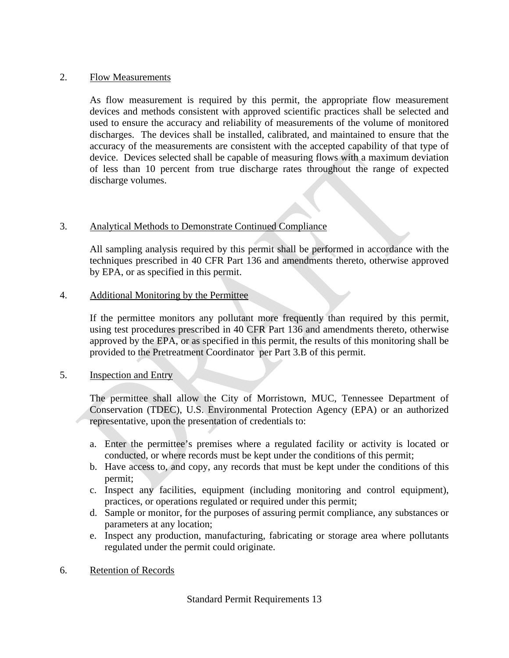#### 2. Flow Measurements

As flow measurement is required by this permit, the appropriate flow measurement devices and methods consistent with approved scientific practices shall be selected and used to ensure the accuracy and reliability of measurements of the volume of monitored discharges. The devices shall be installed, calibrated, and maintained to ensure that the accuracy of the measurements are consistent with the accepted capability of that type of device. Devices selected shall be capable of measuring flows with a maximum deviation of less than 10 percent from true discharge rates throughout the range of expected discharge volumes.

### 3. Analytical Methods to Demonstrate Continued Compliance

All sampling analysis required by this permit shall be performed in accordance with the techniques prescribed in 40 CFR Part 136 and amendments thereto, otherwise approved by EPA, or as specified in this permit.

#### 4. Additional Monitoring by the Permittee

If the permittee monitors any pollutant more frequently than required by this permit, using test procedures prescribed in 40 CFR Part 136 and amendments thereto, otherwise approved by the EPA, or as specified in this permit, the results of this monitoring shall be provided to the Pretreatment Coordinator per Part 3.B of this permit.

#### 5. Inspection and Entry

The permittee shall allow the City of Morristown, MUC, Tennessee Department of Conservation (TDEC), U.S. Environmental Protection Agency (EPA) or an authorized representative, upon the presentation of credentials to:

- a. Enter the permittee's premises where a regulated facility or activity is located or conducted, or where records must be kept under the conditions of this permit;
- b. Have access to, and copy, any records that must be kept under the conditions of this permit;
- c. Inspect any facilities, equipment (including monitoring and control equipment), practices, or operations regulated or required under this permit;
- d. Sample or monitor, for the purposes of assuring permit compliance, any substances or parameters at any location;
- e. Inspect any production, manufacturing, fabricating or storage area where pollutants regulated under the permit could originate.
- 6. Retention of Records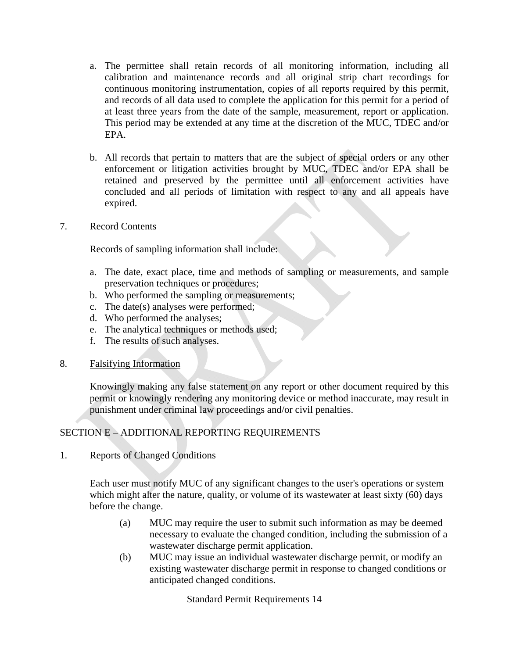- a. The permittee shall retain records of all monitoring information, including all calibration and maintenance records and all original strip chart recordings for continuous monitoring instrumentation, copies of all reports required by this permit, and records of all data used to complete the application for this permit for a period of at least three years from the date of the sample, measurement, report or application. This period may be extended at any time at the discretion of the MUC, TDEC and/or EPA.
- b. All records that pertain to matters that are the subject of special orders or any other enforcement or litigation activities brought by MUC, TDEC and/or EPA shall be retained and preserved by the permittee until all enforcement activities have concluded and all periods of limitation with respect to any and all appeals have expired.
- 7. Record Contents

Records of sampling information shall include:

- a. The date, exact place, time and methods of sampling or measurements, and sample preservation techniques or procedures;
- b. Who performed the sampling or measurements;
- c. The date(s) analyses were performed;
- d. Who performed the analyses;
- e. The analytical techniques or methods used;
- f. The results of such analyses.
- 8. Falsifying Information

Knowingly making any false statement on any report or other document required by this permit or knowingly rendering any monitoring device or method inaccurate, may result in punishment under criminal law proceedings and/or civil penalties.

## SECTION E – ADDITIONAL REPORTING REQUIREMENTS

1. Reports of Changed Conditions

Each user must notify MUC of any significant changes to the user's operations or system which might alter the nature, quality, or volume of its wastewater at least sixty (60) days before the change.

- (a) MUC may require the user to submit such information as may be deemed necessary to evaluate the changed condition, including the submission of a wastewater discharge permit application.
- (b) MUC may issue an individual wastewater discharge permit, or modify an existing wastewater discharge permit in response to changed conditions or anticipated changed conditions.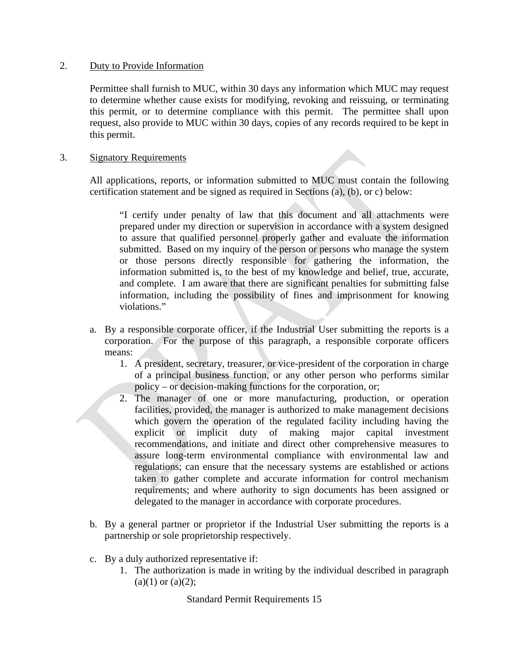#### 2. Duty to Provide Information

Permittee shall furnish to MUC, within 30 days any information which MUC may request to determine whether cause exists for modifying, revoking and reissuing, or terminating this permit, or to determine compliance with this permit. The permittee shall upon request, also provide to MUC within 30 days, copies of any records required to be kept in this permit.

### 3. Signatory Requirements

All applications, reports, or information submitted to MUC must contain the following certification statement and be signed as required in Sections (a), (b), or c) below:

"I certify under penalty of law that this document and all attachments were prepared under my direction or supervision in accordance with a system designed to assure that qualified personnel properly gather and evaluate the information submitted. Based on my inquiry of the person or persons who manage the system or those persons directly responsible for gathering the information, the information submitted is, to the best of my knowledge and belief, true, accurate, and complete. I am aware that there are significant penalties for submitting false information, including the possibility of fines and imprisonment for knowing violations."

- a. By a responsible corporate officer, if the Industrial User submitting the reports is a corporation. For the purpose of this paragraph, a responsible corporate officers means:
	- 1. A president, secretary, treasurer, or vice-president of the corporation in charge of a principal business function, or any other person who performs similar policy – or decision-making functions for the corporation, or;
	- 2. The manager of one or more manufacturing, production, or operation facilities, provided, the manager is authorized to make management decisions which govern the operation of the regulated facility including having the explicit or implicit duty of making major capital investment recommendations, and initiate and direct other comprehensive measures to assure long-term environmental compliance with environmental law and regulations; can ensure that the necessary systems are established or actions taken to gather complete and accurate information for control mechanism requirements; and where authority to sign documents has been assigned or delegated to the manager in accordance with corporate procedures.
- b. By a general partner or proprietor if the Industrial User submitting the reports is a partnership or sole proprietorship respectively.
- c. By a duly authorized representative if:
	- 1. The authorization is made in writing by the individual described in paragraph  $(a)(1)$  or  $(a)(2)$ ;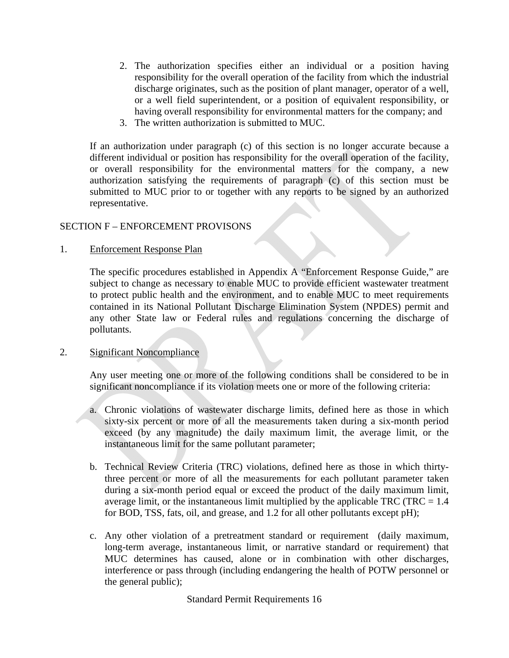- 2. The authorization specifies either an individual or a position having responsibility for the overall operation of the facility from which the industrial discharge originates, such as the position of plant manager, operator of a well, or a well field superintendent, or a position of equivalent responsibility, or having overall responsibility for environmental matters for the company; and
- 3. The written authorization is submitted to MUC.

If an authorization under paragraph (c) of this section is no longer accurate because a different individual or position has responsibility for the overall operation of the facility, or overall responsibility for the environmental matters for the company, a new authorization satisfying the requirements of paragraph (c) of this section must be submitted to MUC prior to or together with any reports to be signed by an authorized representative.

#### SECTION F – ENFORCEMENT PROVISONS

#### 1. Enforcement Response Plan

The specific procedures established in Appendix A "Enforcement Response Guide," are subject to change as necessary to enable MUC to provide efficient wastewater treatment to protect public health and the environment, and to enable MUC to meet requirements contained in its National Pollutant Discharge Elimination System (NPDES) permit and any other State law or Federal rules and regulations concerning the discharge of pollutants.

#### 2. Significant Noncompliance

Any user meeting one or more of the following conditions shall be considered to be in significant noncompliance if its violation meets one or more of the following criteria:

- a. Chronic violations of wastewater discharge limits, defined here as those in which sixty-six percent or more of all the measurements taken during a six-month period exceed (by any magnitude) the daily maximum limit, the average limit, or the instantaneous limit for the same pollutant parameter;
- b. Technical Review Criteria (TRC) violations, defined here as those in which thirtythree percent or more of all the measurements for each pollutant parameter taken during a six-month period equal or exceed the product of the daily maximum limit, average limit, or the instantaneous limit multiplied by the applicable TRC (TRC  $= 1.4$ ) for BOD, TSS, fats, oil, and grease, and 1.2 for all other pollutants except pH);
- c. Any other violation of a pretreatment standard or requirement (daily maximum, long-term average, instantaneous limit, or narrative standard or requirement) that MUC determines has caused, alone or in combination with other discharges, interference or pass through (including endangering the health of POTW personnel or the general public);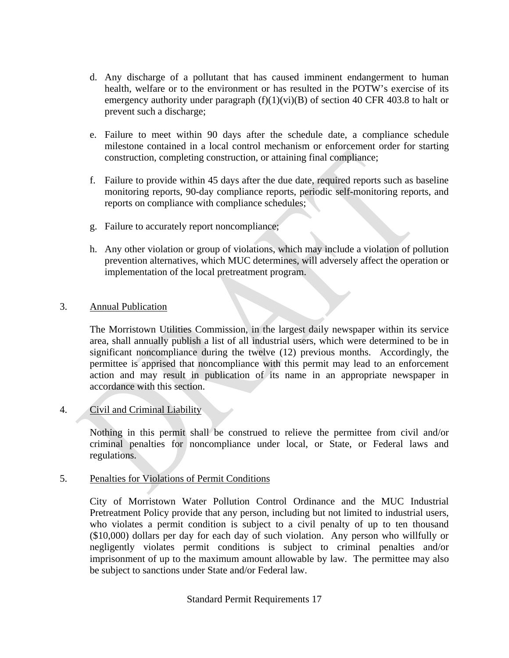- d. Any discharge of a pollutant that has caused imminent endangerment to human health, welfare or to the environment or has resulted in the POTW's exercise of its emergency authority under paragraph  $(f)(1)(vi)(B)$  of section 40 CFR 403.8 to halt or prevent such a discharge;
- e. Failure to meet within 90 days after the schedule date, a compliance schedule milestone contained in a local control mechanism or enforcement order for starting construction, completing construction, or attaining final compliance;
- f. Failure to provide within 45 days after the due date, required reports such as baseline monitoring reports, 90-day compliance reports, periodic self-monitoring reports, and reports on compliance with compliance schedules;
- g. Failure to accurately report noncompliance;
- h. Any other violation or group of violations, which may include a violation of pollution prevention alternatives, which MUC determines, will adversely affect the operation or implementation of the local pretreatment program.

## 3. Annual Publication

The Morristown Utilities Commission, in the largest daily newspaper within its service area, shall annually publish a list of all industrial users, which were determined to be in significant noncompliance during the twelve (12) previous months. Accordingly, the permittee is apprised that noncompliance with this permit may lead to an enforcement action and may result in publication of its name in an appropriate newspaper in accordance with this section.

## 4. Civil and Criminal Liability

Nothing in this permit shall be construed to relieve the permittee from civil and/or criminal penalties for noncompliance under local, or State, or Federal laws and regulations.

## 5. Penalties for Violations of Permit Conditions

City of Morristown Water Pollution Control Ordinance and the MUC Industrial Pretreatment Policy provide that any person, including but not limited to industrial users, who violates a permit condition is subject to a civil penalty of up to ten thousand (\$10,000) dollars per day for each day of such violation. Any person who willfully or negligently violates permit conditions is subject to criminal penalties and/or imprisonment of up to the maximum amount allowable by law. The permittee may also be subject to sanctions under State and/or Federal law.